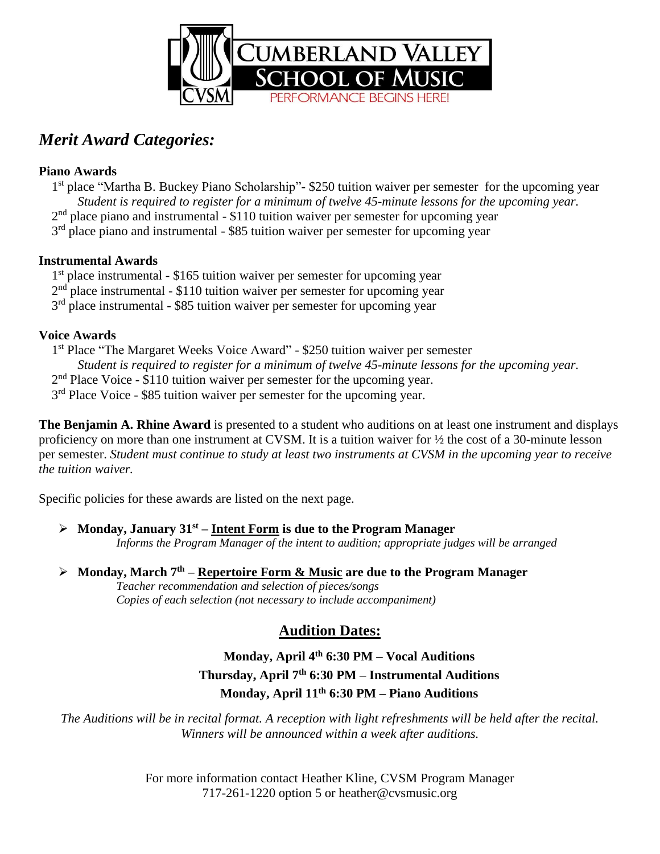

# *Merit Award Categories:*

### **Piano Awards**

1<sup>st</sup> place "Martha B. Buckey Piano Scholarship"- \$250 tuition waiver per semester for the upcoming year *Student is required to register for a minimum of twelve 45-minute lessons for the upcoming year.* 2<sup>nd</sup> place piano and instrumental - \$110 tuition waiver per semester for upcoming year 3<sup>rd</sup> place piano and instrumental - \$85 tuition waiver per semester for upcoming year

### **Instrumental Awards**

1<sup>st</sup> place instrumental - \$165 tuition waiver per semester for upcoming year 2<sup>nd</sup> place instrumental - \$110 tuition waiver per semester for upcoming year

3<sup>rd</sup> place instrumental - \$85 tuition waiver per semester for upcoming year

### **Voice Awards**

1<sup>st</sup> Place "The Margaret Weeks Voice Award" - \$250 tuition waiver per semester *Student is required to register for a minimum of twelve 45-minute lessons for the upcoming year.* 2<sup>nd</sup> Place Voice - \$110 tuition waiver per semester for the upcoming year. 3<sup>rd</sup> Place Voice - \$85 tuition waiver per semester for the upcoming year.

**The Benjamin A. Rhine Award** is presented to a student who auditions on at least one instrument and displays proficiency on more than one instrument at CVSM. It is a tuition waiver for ½ the cost of a 30-minute lesson per semester. Student must continue to study at least two instruments at CVSM in the upcoming year to receive *the tuition waiver.*

Specific policies for these awards are listed on the next page.

### ➢ **Monday, January 31st – Intent Form is due to the Program Manager**

*Informs the Program Manager of the intent to audition; appropriate judges will be arranged*

### ➢ **Monday, March 7 th – Repertoire Form & Music are due to the Program Manager**

*Teacher recommendation and selection of pieces/songs Copies of each selection (not necessary to include accompaniment)*

# **Audition Dates:**

### **Monday, April 4 th 6:30 PM – Vocal Auditions Thursday, April 7 th 6:30 PM – Instrumental Auditions Monday, April 11 th 6:30 PM – Piano Auditions**

The Auditions will be in recital format. A reception with light refreshments will be held after the recital. *Winners will be announced within a week after auditions.*

> For more information contact Heather Kline, CVSM Program Manager 717-261-1220 option 5 or heather@cvsmusic.org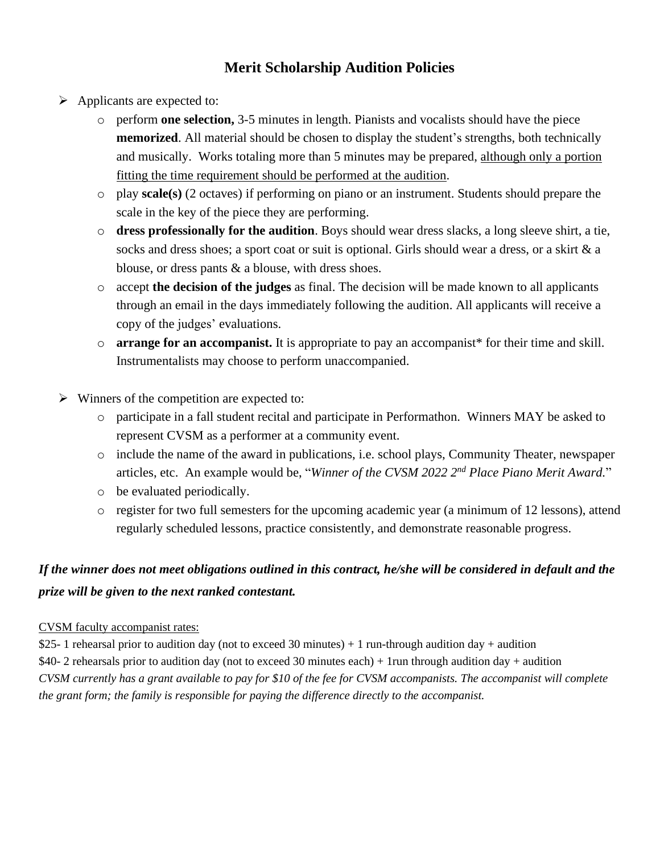# **Merit Scholarship Audition Policies**

- ➢ Applicants are expected to:
	- o perform **one selection,** 3-5 minutes in length. Pianists and vocalists should have the piece **memorized**. All material should be chosen to display the student's strengths, both technically and musically. Works totaling more than 5 minutes may be prepared, although only a portion fitting the time requirement should be performed at the audition.
	- o play **scale(s)** (2 octaves) if performing on piano or an instrument. Students should prepare the scale in the key of the piece they are performing.
	- o **dress professionally for the audition**. Boys should wear dress slacks, a long sleeve shirt, a tie, socks and dress shoes; a sport coat or suit is optional. Girls should wear a dress, or a skirt & a blouse, or dress pants & a blouse, with dress shoes.
	- o accept **the decision of the judges** as final. The decision will be made known to all applicants through an email in the days immediately following the audition. All applicants will receive a copy of the judges' evaluations.
	- o **arrange for an accompanist.** It is appropriate to pay an accompanist\* for their time and skill. Instrumentalists may choose to perform unaccompanied.
- $\triangleright$  Winners of the competition are expected to:
	- o participate in a fall student recital and participate in Performathon. Winners MAY be asked to represent CVSM as a performer at a community event.
	- o include the name of the award in publications, i.e. school plays, Community Theater, newspaper articles, etc. An example would be, "*Winner of the CVSM 2022 2 nd Place Piano Merit Award.*"
	- o be evaluated periodically.
	- o register for two full semesters for the upcoming academic year (a minimum of 12 lessons), attend regularly scheduled lessons, practice consistently, and demonstrate reasonable progress.

### If the winner does not meet obligations outlined in this contract, he/she will be considered in default and the *prize will be given to the next ranked contestant.*

#### CVSM faculty accompanist rates:

\$25- 1 rehearsal prior to audition day (not to exceed 30 minutes) + 1 run-through audition day + audition \$40- 2 rehearsals prior to audition day (not to exceed 30 minutes each) + 1run through audition day + audition CVSM currently has a grant available to pay for \$10 of the fee for CVSM accompanists. The accompanist will complete *the grant form; the family is responsible for paying the difference directly to the accompanist.*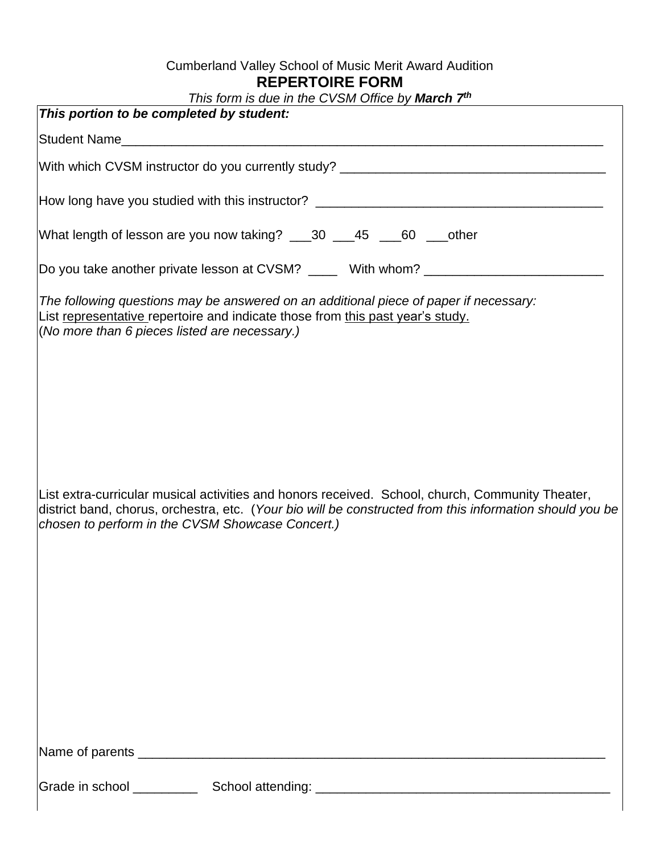### Cumberland Valley School of Music Merit Award Audition **REPERTOIRE FORM**

| This form is due in the CVSM Office by <b>March 7th</b><br>This portion to be completed by student:                                                                                                                                                              |  |  |  |  |
|------------------------------------------------------------------------------------------------------------------------------------------------------------------------------------------------------------------------------------------------------------------|--|--|--|--|
|                                                                                                                                                                                                                                                                  |  |  |  |  |
|                                                                                                                                                                                                                                                                  |  |  |  |  |
|                                                                                                                                                                                                                                                                  |  |  |  |  |
| How long have you studied with this instructor? _________________________________                                                                                                                                                                                |  |  |  |  |
| What length of lesson are you now taking? ___30 ___45 ___60 ___other                                                                                                                                                                                             |  |  |  |  |
| Do you take another private lesson at CVSM? _____ With whom? ___________________                                                                                                                                                                                 |  |  |  |  |
| The following questions may be answered on an additional piece of paper if necessary:<br>List representative repertoire and indicate those from this past year's study.<br>(No more than 6 pieces listed are necessary.)                                         |  |  |  |  |
| List extra-curricular musical activities and honors received. School, church, Community Theater,<br>district band, chorus, orchestra, etc. (Your bio will be constructed from this information should you be<br>chosen to perform in the CVSM Showcase Concert.) |  |  |  |  |
|                                                                                                                                                                                                                                                                  |  |  |  |  |
|                                                                                                                                                                                                                                                                  |  |  |  |  |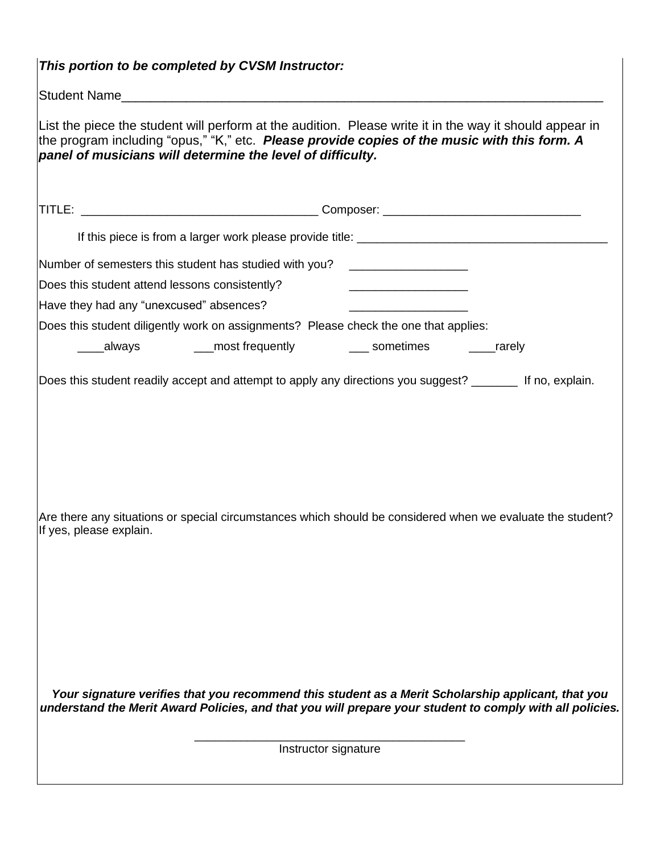| This portion to be completed by CVSM Instructor: |                                                                                                                                                                                                                                                                       |                                                                                                                           |                                                                                                            |  |  |
|--------------------------------------------------|-----------------------------------------------------------------------------------------------------------------------------------------------------------------------------------------------------------------------------------------------------------------------|---------------------------------------------------------------------------------------------------------------------------|------------------------------------------------------------------------------------------------------------|--|--|
|                                                  |                                                                                                                                                                                                                                                                       |                                                                                                                           |                                                                                                            |  |  |
|                                                  | List the piece the student will perform at the audition. Please write it in the way it should appear in<br>the program including "opus," "K," etc. Please provide copies of the music with this form. A<br>panel of musicians will determine the level of difficulty. |                                                                                                                           |                                                                                                            |  |  |
|                                                  |                                                                                                                                                                                                                                                                       |                                                                                                                           |                                                                                                            |  |  |
|                                                  |                                                                                                                                                                                                                                                                       |                                                                                                                           |                                                                                                            |  |  |
|                                                  | Number of semesters this student has studied with you? _________________________                                                                                                                                                                                      |                                                                                                                           |                                                                                                            |  |  |
| Does this student attend lessons consistently?   |                                                                                                                                                                                                                                                                       | <u> Listen von de Stadt von de Stadt von de Stadt von de Stadt von de Stadt von de Stadt von de Stadt von de Stadt vo</u> |                                                                                                            |  |  |
| Have they had any "unexcused" absences?          |                                                                                                                                                                                                                                                                       | <u> 1986 - Jan Samuel Barbara, política establecente de la propia de la propia de la propia de la propia de la p</u>      |                                                                                                            |  |  |
|                                                  | Does this student diligently work on assignments? Please check the one that applies:                                                                                                                                                                                  |                                                                                                                           |                                                                                                            |  |  |
|                                                  |                                                                                                                                                                                                                                                                       |                                                                                                                           |                                                                                                            |  |  |
| If yes, please explain.                          | Does this student readily accept and attempt to apply any directions you suggest? _______ If no, explain.                                                                                                                                                             |                                                                                                                           | Are there any situations or special circumstances which should be considered when we evaluate the student? |  |  |
|                                                  | Your signature verifies that you recommend this student as a Merit Scholarship applicant, that you<br>Instructor signature                                                                                                                                            |                                                                                                                           | understand the Merit Award Policies, and that you will prepare your student to comply with all policies.   |  |  |